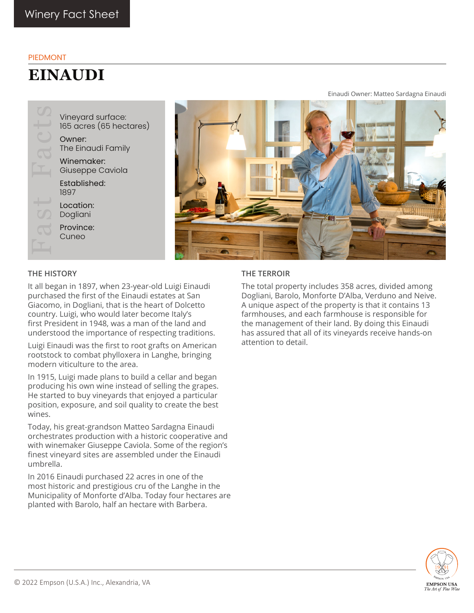### PIEDMONT

# **EINAUDI**

Vineyard surface: 165 acres (65 hectares) Owner: The Einaudi Family Winemaker: Giuseppe Caviola Established: 1897 Location: Dogliani Province: Cuneo



#### **THE HISTORY**

It all began in 1897, when 23-year-old Luigi Einaudi purchased the first of the Einaudi estates at San Giacomo, in Dogliani, that is the heart of Dolcetto country. Luigi, who would later become Italy's first President in 1948, was a man of the land and understood the importance of respecting traditions.

Luigi Einaudi was the first to root grafts on American rootstock to combat phylloxera in Langhe, bringing modern viticulture to the area.

In 1915, Luigi made plans to build a cellar and began producing his own wine instead of selling the grapes. He started to buy vineyards that enjoyed a particular position, exposure, and soil quality to create the best wines.

Today, his great-grandson Matteo Sardagna Einaudi orchestrates production with a historic cooperative and with winemaker Giuseppe Caviola. Some of the region's finest vineyard sites are assembled under the Einaudi umbrella.

In 2016 Einaudi purchased 22 acres in one of the most historic and prestigious cru of the Langhe in the Municipality of Monforte d'Alba. Today four hectares are planted with Barolo, half an hectare with Barbera.

### **THE TERROIR**

The total property includes 358 acres, divided among Dogliani, Barolo, Monforte D'Alba, Verduno and Neive. A unique aspect of the property is that it contains 13 farmhouses, and each farmhouse is responsible for the management of their land. By doing this Einaudi has assured that all of its vineyards receive hands-on attention to detail.